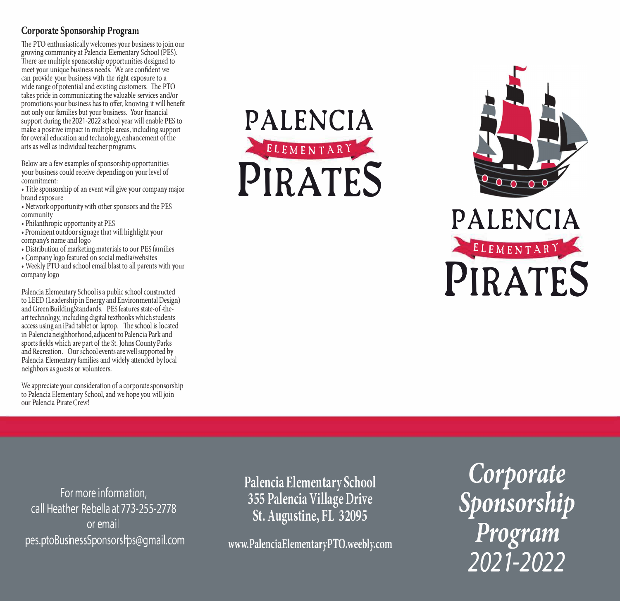## **Corporate Sponsorship Program**

The PTO enthusiastically welcomes your business to join our growing community at Palencia Elementary School (PES). There are multiple sponsorship opportunities designed to meet your unique business needs. We are confident we can provide your business with the right exposure to a wide range of potential and existing customers. The PTO takes pride in communicating the valuable services and/or promotions your business has to offer, knowing it will benefit not only our families but your business. Your financial support during the 2021-2022 school year will enable PES to make a positive impact in multiple areas, including support for overall education and technology, enhancement of the arts as well as individual teacher programs.

Below are a few examples of sponsorship opportunities your business could receive depending on your level of commitment:

, Title sponsorship of an event will give your company major brand exposure

, Network opportunity with other sponsors and the PES community

, Philanthropic opportunity at PES

- , Prominent outdoor signage that will highlight your company's name and logo
- , Distribution of marketing materials to our PES families
- , Company logo featured on social media/websites
- Weekly PTO and school email blast to all parents with your company logo

Palencia Elementary School is a public school constructed to LEED (Leadership in Energy and Environmental Design) and Green BuildingStandards. PES features state-of -theart technology, including digital textbooks which students  $access$  using an iPad tablet or laptop. The school is located in Palencia neighborhood, adjacent to Palencia Park and sports fields which are part of the St. Johns County Parks and Recreation. Our school events are well supported by Palencia Elementary families and widely attended by local neighbors as guests or volunteers.

We appreciate your consideration of a corporate sponsorship to Palencia Elementary School, and we hope you will join our Palencia Pirate Crew!

**PALENCIA ELEMENTARY PIRATES** 





**For more information, call Heather Rebel la at 773-255-2778 or email pes.ptoBushessSponsorsl'ps@gmail.com**  **Palencia Elementary School 355 Palencia Village Drive St. Augustine, FL 32095** 

**www.PalenciaElementaryPTO.weebly.com** 

*Corporate Sponsorship Program 2021-2022*